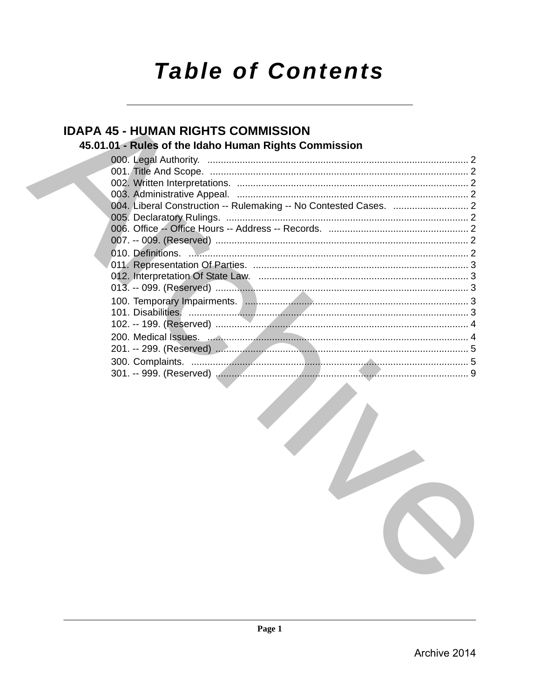# **Table of Contents**

# **IDAPA 45 - HUMAN RIGHTS COMMISSION**

## 45.01.01 - Rules of the Idaho Human Rights Commission

| 010. Definitions. 2010. 2010. 2010. 2010. 2010. 2010. 2010. 2010. 2010. 2010. 2010. 2010. 2010. 2010. 2010. 2010. 2010. 2010. 2010. 2010. 2010. 2010. 2010. 2010. 2010. 2010. 2010. 2010. 2010. 2010. 2010. 2010. 2010. 2010. |  |
|-------------------------------------------------------------------------------------------------------------------------------------------------------------------------------------------------------------------------------|--|
|                                                                                                                                                                                                                               |  |
|                                                                                                                                                                                                                               |  |
|                                                                                                                                                                                                                               |  |
|                                                                                                                                                                                                                               |  |
|                                                                                                                                                                                                                               |  |
|                                                                                                                                                                                                                               |  |
|                                                                                                                                                                                                                               |  |
|                                                                                                                                                                                                                               |  |
|                                                                                                                                                                                                                               |  |
|                                                                                                                                                                                                                               |  |
|                                                                                                                                                                                                                               |  |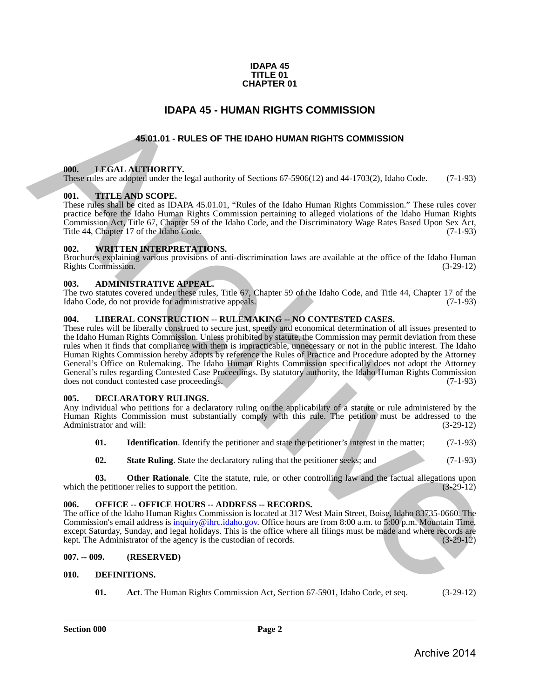#### **IDAPA 45 TITLE 01 CHAPTER 01**

### **IDAPA 45 - HUMAN RIGHTS COMMISSION**

### **45.01.01 - RULES OF THE IDAHO HUMAN RIGHTS COMMISSION**

#### <span id="page-1-2"></span><span id="page-1-1"></span>**000. LEGAL AUTHORITY.**

These rules are adopted under the legal authority of Sections 67-5906(12) and 44-1703(2), Idaho Code. (7-1-93)

#### <span id="page-1-3"></span>**001. TITLE AND SCOPE.**

These rules shall be cited as IDAPA 45.01.01, "Rules of the Idaho Human Rights Commission." These rules cover practice before the Idaho Human Rights Commission pertaining to alleged violations of the Idaho Human Rights Commission Act, Title 67, Chapter 59 of the Idaho Code, and the Discriminatory Wage Rates Based Upon Sex Act, Title 44, Chapter 17 of the Idaho Code.

#### <span id="page-1-4"></span>**002. WRITTEN INTERPRETATIONS.**

Brochures explaining various provisions of anti-discrimination laws are available at the office of the Idaho Human Rights Commission. (3-29-12) Rights Commission.

#### <span id="page-1-5"></span>**003. ADMINISTRATIVE APPEAL.**

The two statutes covered under these rules, Title 67, Chapter 59 of the Idaho Code, and Title 44, Chapter 17 of the Idaho Code, do not provide for administrative appeals. (7-1-93)

### <span id="page-1-6"></span>**004. LIBERAL CONSTRUCTION -- RULEMAKING -- NO CONTESTED CASES.**

<span id="page-1-0"></span>These rules will be liberally construed to secure just, speedy and economical determination of all issues presented to the Idaho Human Rights Commission. Unless prohibited by statute, the Commission may permit deviation from these rules when it finds that compliance with them is impracticable, unnecessary or not in the public interest. The Idaho Human Rights Commission hereby adopts by reference the Rules of Practice and Procedure adopted by the Attorney General's Office on Rulemaking. The Idaho Human Rights Commission specifically does not adopt the Attorney General's rules regarding Contested Case Proceedings. By statutory authority, the Idaho Human Rights Commission does not conduct contested case proceedings. does not conduct contested case proceedings. **IDAPA 45 - HUMAN RIGHTS COMMISSION**<br>
45.61.61 - RULES OF THE IDAHO HUMAN RIGHTS COMMISSION<br>
THE NATION CONTROLLER SOFTER DATA OF THE DAHO HUMAN RIGHTS COMMISSION<br>
THE NATION CONTROLLER SOFTER IDAHO HUMAN RIGHTS COMMISSIO

#### <span id="page-1-11"></span><span id="page-1-7"></span>**005. DECLARATORY RULINGS.**

Any individual who petitions for a declaratory ruling on the applicability of a statute or rule administered by the Human Rights Commission must substantially comply with this rule. The petition must be addressed to the Administrator and will: (3-29-12) Administrator and will:

- **01.** Identification. Identify the petitioner and state the petitioner's interest in the matter; (7-1-93)
- **02.** State Ruling. State the declaratory ruling that the petitioner seeks; and (7-1-93)

**03. Other Rationale**. Cite the statute, rule, or other controlling law and the factual allegations upon e petitioner relies to support the petition. (3-29-12) which the petitioner relies to support the petition.

#### <span id="page-1-8"></span>**006. OFFICE -- OFFICE HOURS -- ADDRESS -- RECORDS.**

The office of the Idaho Human Rights Commission is located at 317 West Main Street, Boise, Idaho 83735-0660. The Commission's email address is inquiry@ihrc.idaho.gov. Office hours are from 8:00 a.m. to 5:00 p.m. Mountain Time, except Saturday, Sunday, and legal holidays. This is the office where all filings must be made and where records are kept. The Administrator of the agency is the custodian of records. (3-29-12) kept. The Administrator of the agency is the custodian of records.

#### <span id="page-1-9"></span>**007. -- 009. (RESERVED)**

#### <span id="page-1-10"></span>**010. DEFINITIONS.**

<span id="page-1-13"></span><span id="page-1-12"></span>**01. Act**. The Human Rights Commission Act, Section 67-5901, Idaho Code, et seq. (3-29-12)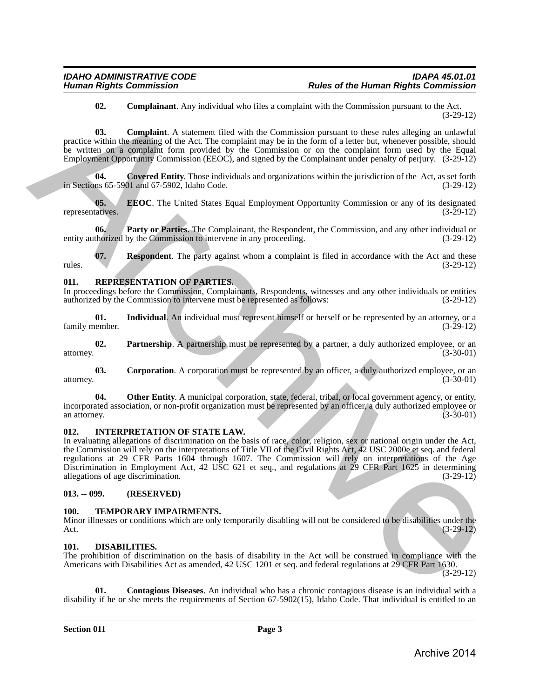#### <span id="page-2-6"></span><span id="page-2-5"></span>**02. Complainant**. Any individual who files a complaint with the Commission pursuant to the Act. (3-29-12)

**03. Complaint**. A statement filed with the Commission pursuant to these rules alleging an unlawful practice within the meaning of the Act. The complaint may be in the form of a letter but, whenever possible, should be written on a complaint form provided by the Commission or on the complaint form used by the Equal Employment Opportunity Commission (EEOC), and signed by the Complainant under penalty of perjury. (3-29-12)

<span id="page-2-7"></span>**04. Covered Entity**. Those individuals and organizations within the jurisdiction of the Act, as set forth in Sections 65-5901 and 67-5902, Idaho Code. (3-29-12)

<span id="page-2-8"></span>**05. EEOC**. The United States Equal Employment Opportunity Commission or any of its designated (3-29-12) representatives.

<span id="page-2-9"></span>**06.** Party or Parties. The Complainant, the Respondent, the Commission, and any other individual or thorized by the Commission to intervene in any proceeding. (3-29-12) entity authorized by the Commission to intervene in any proceeding.

<span id="page-2-10"></span>**07. Respondent**. The party against whom a complaint is filed in accordance with the Act and these rules. (3-29-12)

#### <span id="page-2-14"></span><span id="page-2-0"></span>**011. REPRESENTATION OF PARTIES.**

In proceedings before the Commission, Complainants, Respondents, witnesses and any other individuals or entities authorized by the Commission to intervene must be represented as follows: (3-29-12) authorized by the Commission to intervene must be represented as follows:

<span id="page-2-16"></span>**01.** Individual. An individual must represent himself or herself or be represented by an attorney, or a nember. (3-29-12) family member.

<span id="page-2-18"></span>**02. Partnership**. A partnership must be represented by a partner, a duly authorized employee, or an (3-30-01) attorney. (3-30-01)

<span id="page-2-15"></span>**03.** Corporation. A corporation must be represented by an officer, a duly authorized employee, or an  $(3-30-01)$ attorney. (3-30-01)

<span id="page-2-17"></span>**04.** Other Entity. A municipal corporation, state, federal, tribal, or local government agency, or entity, incorporated association, or non-profit organization must be represented by an officer, a duly authorized employee or<br>(3-30-01) an attorney. (3-30-01)

#### <span id="page-2-13"></span><span id="page-2-1"></span>**012. INTERPRETATION OF STATE LAW.**

In evaluating allegations of discrimination on the basis of race, color, religion, sex or national origin under the Act, the Commission will rely on the interpretations of Title VII of the Civil Rights Act, 42 USC 2000e et seq. and federal regulations at 29 CFR Parts 1604 through 1607. The Commission will rely on interpretations of the Age Discrimination in Employment Act, 42 USC 621 et seq., and regulations at 29 CFR Part 1625 in determining allegations of age discrimination. (3-29-12) **62.** Complained, Any multiplies who the scoreption with the Commission parameter (3.4).13<br> **(A)** Complaint A statement field with the Commission parameter (3.4).13<br> **(A)** Complex and Marchives of the Act of the Commissio

#### <span id="page-2-2"></span>**013. -- 099. (RESERVED)**

#### <span id="page-2-19"></span><span id="page-2-3"></span>**100. TEMPORARY IMPAIRMENTS.**

Minor illnesses or conditions which are only temporarily disabling will not be considered to be disabilities under the Act. (3-29-12)

#### <span id="page-2-11"></span><span id="page-2-4"></span>**101. DISABILITIES.**

The prohibition of discrimination on the basis of disability in the Act will be construed in compliance with the Americans with Disabilities Act as amended, 42 USC 1201 et seq. and federal regulations at 29 CFR Part 1630.

(3-29-12)

<span id="page-2-12"></span>**01. Contagious Diseases**. An individual who has a chronic contagious disease is an individual with a disability if he or she meets the requirements of Section 67-5902(15), Idaho Code. That individual is entitled to an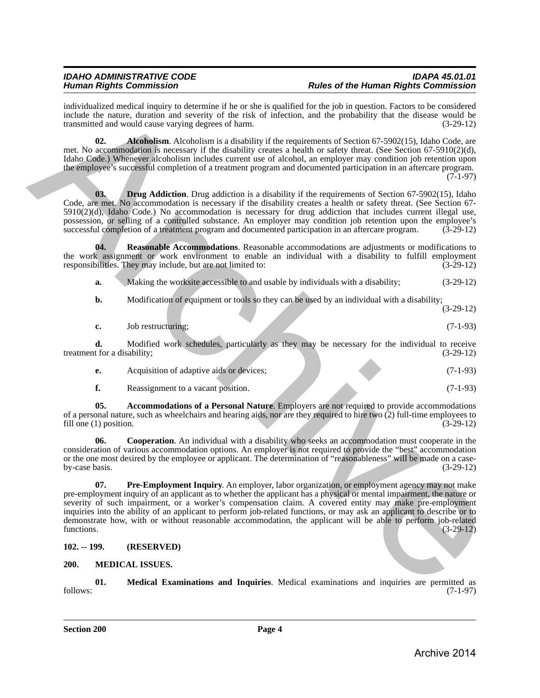individualized medical inquiry to determine if he or she is qualified for the job in question. Factors to be considered include the nature, duration and severity of the risk of infection, and the probability that the disease would be transmitted and would cause varying degrees of harm.

<span id="page-3-3"></span>**02.** Alcoholism. Alcoholism is a disability if the requirements of Section 67-5902(15), Idaho Code, are met. No accommodation is necessary if the disability creates a health or safety threat. (See Section 67-5910(2)(d), Idaho Code.) Whenever alcoholism includes current use of alcohol, an employer may condition job retention upon the employee's successful completion of a treatment program and documented participation in an aftercare program. (7-1-97)

<span id="page-3-5"></span>**03. Drug Addiction**. Drug addiction is a disability if the requirements of Section 67-5902(15), Idaho Code, are met. No accommodation is necessary if the disability creates a health or safety threat. (See Section 67- 5910(2)(d), Idaho Code.) No accommodation is necessary for drug addiction that includes current illegal use, possession, or selling of a controlled substance. An employer may condition job retention upon the employee's successful completion of a treatment program and documented participation in an aftercare program. (3-29-12)

**04. Reasonable Accommodations**. Reasonable accommodations are adjustments or modifications to the work assignment or work environment to enable an individual with a disability to fulfill employment responsibilities. They may include, but are not limited to: (3-29-12)

<span id="page-3-7"></span>**a.** Making the worksite accessible to and usable by individuals with a disability; (3-29-12)

**b.** Modification of equipment or tools so they can be used by an individual with a disability;

(3-29-12)

| c. | Job restructuring: |  | $(7-1-93)$ |  |
|----|--------------------|--|------------|--|
|    |                    |  |            |  |

**d.** Modified work schedules, particularly as they may be necessary for the individual to receive t for a disability; (3-29-12) treatment for a disability;

| Acquisition of adaptive aids or devices; |  | $(7-1-93)$ |
|------------------------------------------|--|------------|
|                                          |  |            |

<span id="page-3-4"></span><span id="page-3-2"></span>**f.** Reassignment to a vacant position. (7-1-93)

**05. Accommodations of a Personal Nature**. Employers are not required to provide accommodations of a personal nature, such as wheelchairs and hearing aids, nor are they required to hire two  $(2)$  full-time employees to fill one (1) position.  $(3-29-12)$ fill one  $(1)$  position.

<span id="page-3-6"></span>**06.** Cooperation. An individual with a disability who seeks an accommodation must cooperate in the consideration of various accommodation options. An employer is not required to provide the "best" accommodation or the one most desired by the employee or applicant. The determination of "reasonableness" will be made on a case-<br>(3-29-12) by-case basis.  $(3-29-12)$ 

**07. Pre-Employment Inquiry**. An employer, labor organization, or employment agency may not make pre-employment inquiry of an applicant as to whether the applicant has a physical or mental impairment, the nature or severity of such impairment, or a worker's compensation claim. A covered entity may make pre-employment inquiries into the ability of an applicant to perform job-related functions, or may ask an applicant to describe or to demonstrate how, with or without reasonable accommodation, the applicant will be able to perform job-related functions.  $(3-29-12)$ Encode the nature during a determine the costs squares that the big big mesting Finder of the same specified the same specified the same specified the same specified the same specified the same specified by the same speci

### <span id="page-3-0"></span>**102. -- 199. (RESERVED)**

### <span id="page-3-8"></span><span id="page-3-1"></span>**200. MEDICAL ISSUES.**

<span id="page-3-9"></span>**01. Medical Examinations and Inquiries**. Medical examinations and inquiries are permitted as follows: (7-1-97)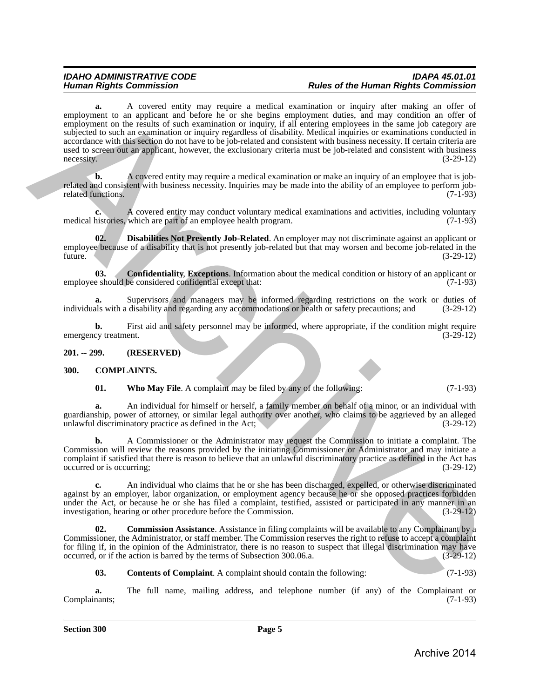### *IDAHO ADMINISTRATIVE CODE IDAPA 45.01.01 Human Rights Commission Rules of the Human Rights Commission*

**a.** A covered entity may require a medical examination or inquiry after making an offer of employment to an applicant and before he or she begins employment duties, and may condition an offer of employment on the results of such examination or inquiry, if all entering employees in the same job category are subjected to such an examination or inquiry regardless of disability. Medical inquiries or examinations conducted in accordance with this section do not have to be job-related and consistent with business necessity. If certain criteria are used to screen out an applicant, however, the exclusionary criteria must be job-related and consistent with business necessity. (3-29-12)  $\arccos$  (3-29-12)  $(3-29-12)$ employment to an opplicant and before the realistic external internal in relative in Figure 2.1.125 and the state of the state of the state of the state of the state of the state of the state of the state of the state of

**b.** A covered entity may require a medical examination or make an inquiry of an employee that is jobrelated and consistent with business necessity. Inquiries may be made into the ability of an employee to perform job-<br>related functions. (7-1-93) related functions.

**c.** A covered entity may conduct voluntary medical examinations and activities, including voluntary histories, which are part of an employee health program. (7-1-93) medical histories, which are part of an employee health program.

<span id="page-4-7"></span>**02. Disabilities Not Presently Job-Related**. An employer may not discriminate against an applicant or employee because of a disability that is not presently job-related but that may worsen and become job-related in the future. (3-29-12) future. (3-29-12)

<span id="page-4-6"></span>**03.** Confidentiality, Exceptions. Information about the medical condition or history of an applicant or e should be considered confidential except that: (7-1-93) employee should be considered confidential except that:

**a.** Supervisors and managers may be informed regarding restrictions on the work or duties of also with a disability and regarding any accommodations or health or safety precautions; and  $(3-29-12)$ individuals with a disability and regarding any accommodations or health or safety precautions; and

**b.** First aid and safety personnel may be informed, where appropriate, if the condition might require cy treatment.  $(3-29-12)$ emergency treatment.

#### <span id="page-4-0"></span>**201. -- 299. (RESERVED)**

- <span id="page-4-5"></span><span id="page-4-2"></span><span id="page-4-1"></span>**300. COMPLAINTS.**
	- **01.** Who May File. A complaint may be filed by any of the following: (7-1-93)

**a.** An individual for himself or herself, a family member on behalf of a minor, or an individual with guardianship, power of attorney, or similar legal authority over another, who claims to be aggrieved by an alleged unlawful discriminatory practice as defined in the Act;

**b.** A Commissioner or the Administrator may request the Commission to initiate a complaint. The Commission will review the reasons provided by the initiating Commissioner or Administrator and may initiate a complaint if satisfied that there is reason to believe that an unlawful discriminatory practice as defined in the Act has occurred or is occurring; (3-29-12)

**c.** An individual who claims that he or she has been discharged, expelled, or otherwise discriminated against by an employer, labor organization, or employment agency because he or she opposed practices forbidden under the Act, or because he or she has filed a complaint, testified, assisted or participated in any manner in an<br>investigation, hearing or other procedure before the Commission. (3-29-12) investigation, hearing or other procedure before the Commission.

**02. Commission Assistance**. Assistance in filing complaints will be available to any Complainant by a Commissioner, the Administrator, or staff member. The Commission reserves the right to refuse to accept a complaint for filing if, in the opinion of the Administrator, there is no reason to suspect that illegal discrimination may have occurred, or if the action is barred by the terms of Subsection 300.06.a. (3-29-12)

<span id="page-4-4"></span><span id="page-4-3"></span>**03. Contents of Complaint**. A complaint should contain the following: (7-1-93)

**a.** The full name, mailing address, and telephone number (if any) of the Complainant or (7-1-93) Complainants;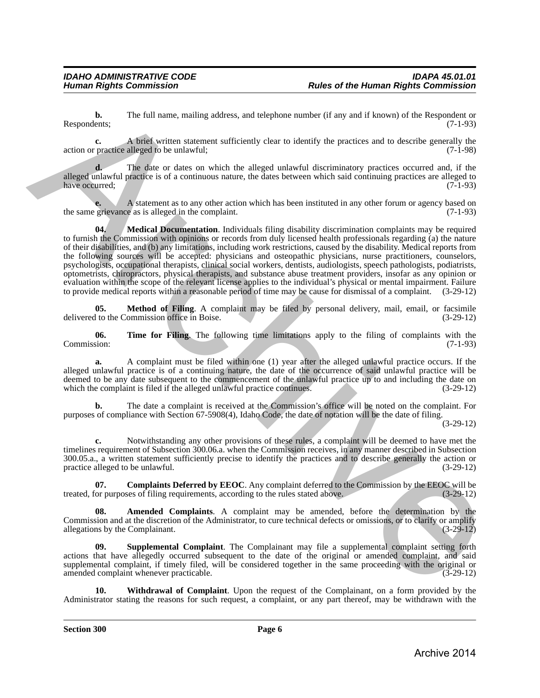**b.** The full name, mailing address, and telephone number (if any and if known) of the Respondent or Respondents; (7-1-93)

**c.** A brief written statement sufficiently clear to identify the practices and to describe generally the action or practice alleged to be unlawful; (7-1-98)

**d.** The date or dates on which the alleged unlawful discriminatory practices occurred and, if the alleged unlawful practice is of a continuous nature, the dates between which said continuing practices are alleged to have occurred; (7-1-93) (3-1-93)

<span id="page-5-2"></span>A statement as to any other action which has been instituted in any other forum or agency based on the as is alleged in the complaint. the same grievance as is alleged in the complaint.

**04. Medical Documentation**. Individuals filing disability discrimination complaints may be required to furnish the Commission with opinions or records from duly licensed health professionals regarding (a) the nature of their disabilities, and (b) any limitations, including work restrictions, caused by the disability. Medical reports from the following sources will be accepted: physicians and osteopathic physicians, nurse practitioners, counselors, psychologists, occupational therapists, clinical social workers, dentists, audiologists, speech pathologists, podiatrists, optometrists, chiropractors, physical therapists, and substance abuse treatment providers, insofar as any opinion or evaluation within the scope of the relevant license applies to the individual's physical or mental impairment. Failure to provide medical reports within a reasonable period of time may be cause for dismissal of a complaint. (3-29-12) Recommendes.<br>
The full name, mailing address, and belowes amother of any and if however) of the Repeathon or<br>
action or meaning a since without antennant sufficiently clear to identify the practices and to describe proced

<span id="page-5-3"></span>**05. Method of Filing**. A complaint may be filed by personal delivery, mail, email, or facsimile delivered to the Commission office in Boise. (3-29-12)

<span id="page-5-5"></span>**06.** Time for Filing. The following time limitations apply to the filing of complaints with the Commission: (7-1-93) Commission: (7-1-93)

**a.** A complaint must be filed within one (1) year after the alleged unlawful practice occurs. If the alleged unlawful practice is of a continuing nature, the date of the occurrence of said unlawful practice will be deemed to be any date subsequent to the commencement of the unlawful practice up to and including the date on which the complaint is filed if the alleged unlawful practice continues. (3-29-12)

**b.** The date a complaint is received at the Commission's office will be noted on the complaint. For purposes of compliance with Section 67-5908(4), Idaho Code, the date of notation will be the date of filing.

(3-29-12)

**c.** Notwithstanding any other provisions of these rules, a complaint will be deemed to have met the timelines requirement of Subsection 300.06.a. when the Commission receives, in any manner described in Subsection 300.05.a., a written statement sufficiently precise to identify the practices and to describe generally the action or practice alleged to be unlawful. (3-29-12)

<span id="page-5-1"></span>**07.** Complaints Deferred by EEOC. Any complaint deferred to the Commission by the EEOC will be or purposes of filing requirements, according to the rules stated above.  $(3-29-12)$ treated, for purposes of filing requirements, according to the rules stated above.

<span id="page-5-0"></span>**08. Amended Complaints**. A complaint may be amended, before the determination by the Commission and at the discretion of the Administrator, to cure technical defects or omissions, or to clarify or amplify allegations by the Complainant. (3-29-12)

<span id="page-5-4"></span>**Supplemental Complaint**. The Complainant may file a supplemental complaint setting forth actions that have allegedly occurred subsequent to the date of the original or amended complaint, and said supplemental complaint, if timely filed, will be considered together in the same proceeding with the original or<br>(3-29-12) (3-29-12) amended complaint whenever practicable.

<span id="page-5-6"></span>**10. Withdrawal of Complaint**. Upon the request of the Complainant, on a form provided by the Administrator stating the reasons for such request, a complaint, or any part thereof, may be withdrawn with the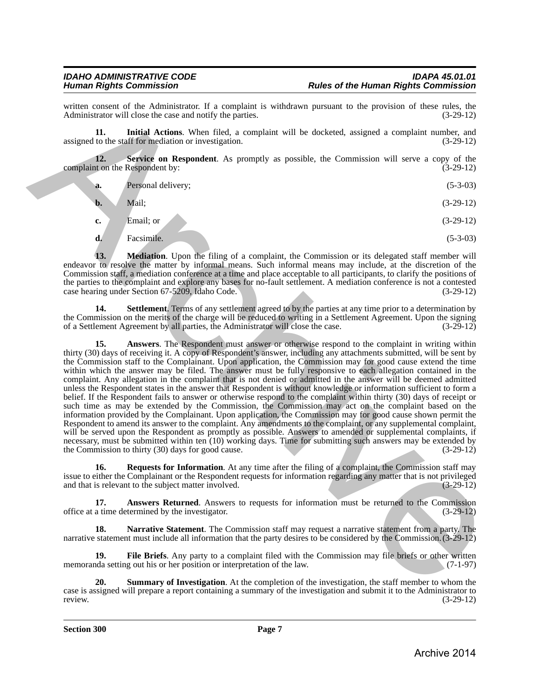written consent of the Administrator. If a complaint is withdrawn pursuant to the provision of these rules, the Administrator will close the case and notify the parties. (3-29-12) Administrator will close the case and notify the parties.

<span id="page-6-3"></span>**11. Initial Actions**. When filed, a complaint will be docketed, assigned a complaint number, and assigned to the staff for mediation or investigation. (3-29-12)

**12.** Service on Respondent. As promptly as possible, the Commission will serve a copy of the ton the Respondent by:  $(3-29-12)$ complaint on the Respondent by:

<span id="page-6-7"></span>

| Personal delivery; | $(5-3-03)$ |
|--------------------|------------|
|                    |            |

| $\mathbf{b}$ . | Mail; | $(3-29-12)$ |
|----------------|-------|-------------|
|                |       |             |

**c.** Email; or (3-29-12)

<span id="page-6-4"></span>**d.** Facsimile. (5-3-03)

**13.** Mediation. Upon the filing of a complaint, the Commission or its delegated staff member will endeavor to resolve the matter by informal means. Such informal means may include, at the discretion of the Commission staff, a mediation conference at a time and place acceptable to all participants, to clarify the positions of the parties to the complaint and explore any bases for no-fault settlement. A mediation conference is not a contested case hearing under Section 67-5209, Idaho Code. (3-29-12) case hearing under Section 67-5209, Idaho Code.

<span id="page-6-8"></span><span id="page-6-1"></span>**14.** Settlement. Terms of any settlement agreed to by the parties at any time prior to a determination by the Commission on the merits of the charge will be reduced to writing in a Settlement Agreement. Upon the signing<br>of a Settlement Agreement by all parties, the Administrator will close the case. (3-29-12) of a Settlement Agreement by all parties, the Administrator will close the case.

**15. Answers**. The Respondent must answer or otherwise respond to the complaint in writing within thirty (30) days of receiving it. A copy of Respondent's answer, including any attachments submitted, will be sent by the Commission staff to the Complainant. Upon application, the Commission may for good cause extend the time within which the answer may be filed. The answer must be fully responsive to each allegation contained in the complaint. Any allegation in the complaint that is not denied or admitted in the answer will be deemed admitted unless the Respondent states in the answer that Respondent is without knowledge or information sufficient to form a belief. If the Respondent fails to answer or otherwise respond to the complaint within thirty (30) days of receipt or such time as may be extended by the Commission, the Commission may act on the complaint based on the information provided by the Complainant. Upon application, the Commission may for good cause shown permit the Respondent to amend its answer to the complaint. Any amendments to the complaint, or any supplemental complaint, will be served upon the Respondent as promptly as possible. Answers to amended or supplemental complaints, if necessary, must be submitted within ten (10) working days. Time for submitting such answers may be extended by the Commission to thirty (30) days for good cause. (3-29-12) the Commission to thirty  $(30)$  days for good cause. when enough the Archivetonian II is appropriate is with three parents of the provision of these rates. Are smalled Archivetonian II is completed with the complete scale and complete the smalled Archivetonian II is complet

<span id="page-6-6"></span>**16.** Requests for Information. At any time after the filing of a complaint, the Commission staff may issue to either the Complainant or the Respondent requests for information regarding any matter that is not privileged and that is relevant to the subject matter involved.

<span id="page-6-0"></span>**17. Answers Returned**. Answers to requests for information must be returned to the Commission a time determined by the investigator. office at a time determined by the investigator. (3-29-12)

<span id="page-6-5"></span>**18. Narrative Statement**. The Commission staff may request a narrative statement from a party. The narrative statement must include all information that the party desires to be considered by the Commission.(3-29-12)

<span id="page-6-2"></span>**19.** File Briefs. Any party to a complaint filed with the Commission may file briefs or other written da setting out his or her position or interpretation of the law. memoranda setting out his or her position or interpretation of the law.

<span id="page-6-9"></span>**20. Summary of Investigation**. At the completion of the investigation, the staff member to whom the case is assigned will prepare a report containing a summary of the investigation and submit it to the Administrator to review. (3-29-12) review. (3-29-12)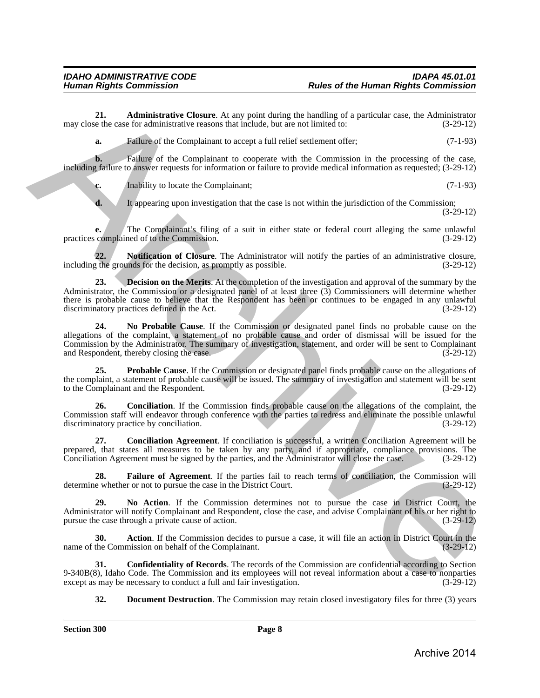**21. Administrative Closure**. At any point during the handling of a particular case, the Administrator e the case for administrative reasons that include, but are not limited to: (3-29-12) may close the case for administrative reasons that include, but are not limited to:

<span id="page-7-1"></span>**a.** Failure of the Complainant to accept a full relief settlement offer; (7-1-93)

**b.** Failure of the Complainant to cooperate with the Commission in the processing of the case, including failure to answer requests for information or failure to provide medical information as requested; (3-29-12)

**c.** Inability to locate the Complainant; (7-1-93)

<span id="page-7-10"></span>**d.** It appearing upon investigation that the case is not within the jurisdiction of the Commission; (3-29-12)

**e.** The Complainant's filing of a suit in either state or federal court alleging the same unlawful complained of to the Commission. (3-29-12) practices complained of to the Commission.

<span id="page-7-5"></span>**22. Notification of Closure**. The Administrator will notify the parties of an administrative closure, including the grounds for the decision, as promptly as possible. (3-29-12)

**23. Decision on the Merits**. At the completion of the investigation and approval of the summary by the Administrator, the Commission or a designated panel of at least three (3) Commissioners will determine whether there is probable cause to believe that the Respondent has been or continues to be engaged in any unlawful discriminatory practices defined in the Act. (3-29-12) discriminatory practices defined in the Act. 24. Administrative Choose M any point during the handling of a periodic case. As Archivistany<br>
and the case of the Complainant to accept full relative the method is the second of (1-1-25)<br>
and the case of the Complainant

<span id="page-7-9"></span>**24. No Probable Cause**. If the Commission or designated panel finds no probable cause on the allegations of the complaint, a statement of no probable cause and order of dismissal will be issued for the Commission by the Administrator. The summary of investigation, statement, and order will be sent to Complainant and Respondent, thereby closing the case. (3-29-12) and Respondent, thereby closing the case.

<span id="page-7-11"></span>**25. Probable Cause**. If the Commission or designated panel finds probable cause on the allegations of the complaint, a statement of probable cause will be issued. The summary of investigation and statement will be sent<br>to the Complainant and the Respondent. (3-29-12) to the Complainant and the Respondent.

<span id="page-7-2"></span>**26. Conciliation**. If the Commission finds probable cause on the allegations of the complaint, the Commission staff will endeavor through conference with the parties to redress and eliminate the possible unlawful discriminatory practice by conciliation. (3-29-12)

<span id="page-7-3"></span>**27. Conciliation Agreement**. If conciliation is successful, a written Conciliation Agreement will be prepared, that states all measures to be taken by any party, and if appropriate, compliance provisions. The Conciliation Agreement must be signed by the parties, and the Administrator will close the case. (3-29-12) Conciliation Agreement must be signed by the parties, and the Administrator will close the case.

<span id="page-7-7"></span>**28.** Failure of Agreement. If the parties fail to reach terms of conciliation, the Commission will e whether or not to pursue the case in the District Court. (3-29-12) determine whether or not to pursue the case in the District Court.

<span id="page-7-8"></span>**29. No Action**. If the Commission determines not to pursue the case in District Court, the Administrator will notify Complainant and Respondent, close the case, and advise Complainant of his or her right to pursue the case through a private cause of action. (3-29-12)

<span id="page-7-0"></span>**30.** Action. If the Commission decides to pursue a case, it will file an action in District Court in the Commission on behalf of the Complainant. (3-29-12) name of the Commission on behalf of the Complainant.

**31. Confidentiality of Records**. The records of the Commission are confidential according to Section 9-340B(8), Idaho Code. The Commission and its employees will not reveal information about a case to nonparties except as may be necessary to conduct a full and fair investigation. (3-29-12) except as may be necessary to conduct a full and fair investigation.

<span id="page-7-6"></span><span id="page-7-4"></span>**32. Document Destruction**. The Commission may retain closed investigatory files for three (3) years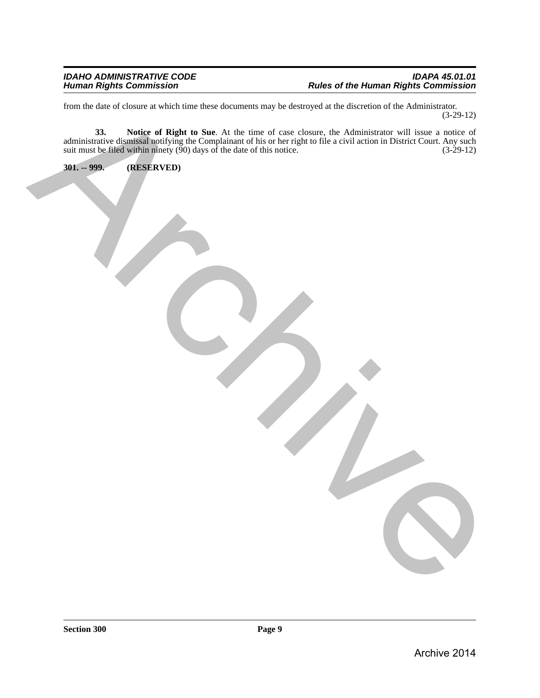<span id="page-8-1"></span><span id="page-8-0"></span>

| from the date of closure at which time these documents may be destroyed at the discretion of the Administrator.                                                                                                               | $(3-29-12)$ |
|-------------------------------------------------------------------------------------------------------------------------------------------------------------------------------------------------------------------------------|-------------|
| 33. Notice of Right to Sue. At the time of case closure, the Administrator will issue a notice of administrative dismissal notifying the Complainant of his or her right to file a civil action in District Court. Any such s |             |
| $301. - 999.$<br>(RESERVED)                                                                                                                                                                                                   |             |
|                                                                                                                                                                                                                               |             |